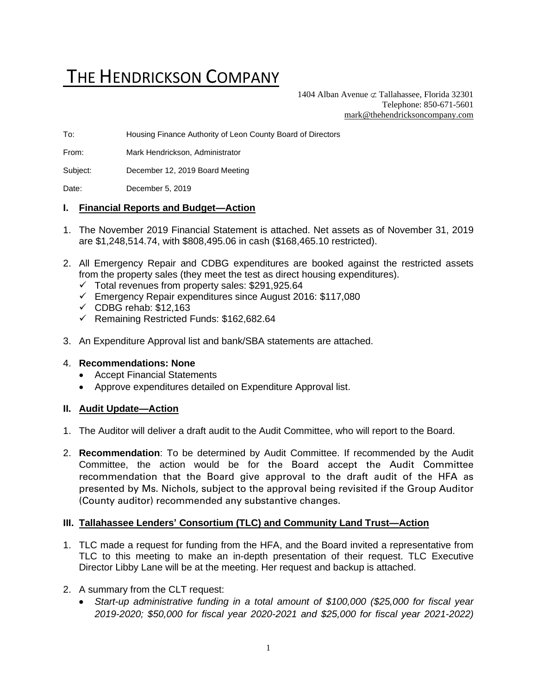# THE HENDRICKSON COMPANY

1404 Alban Avenue  $\sigma$  Tallahassee, Florida 32301 Telephone: 850-671-5601 [mark@thehendricksoncompany.com](mailto:mark@thehendricksoncompany.com)

To: Housing Finance Authority of Leon County Board of Directors

From: Mark Hendrickson, Administrator

Subject: December 12, 2019 Board Meeting

Date: December 5, 2019

#### **I. Financial Reports and Budget—Action**

- 1. The November 2019 Financial Statement is attached. Net assets as of November 31, 2019 are \$1,248,514.74, with \$808,495.06 in cash (\$168,465.10 restricted).
- 2. All Emergency Repair and CDBG expenditures are booked against the restricted assets from the property sales (they meet the test as direct housing expenditures).
	- $\checkmark$  Total revenues from property sales: \$291,925.64
	- ✓ Emergency Repair expenditures since August 2016: \$117,080
	- $\checkmark$  CDBG rehab: \$12,163
	- ✓ Remaining Restricted Funds: \$162,682.64
- 3. An Expenditure Approval list and bank/SBA statements are attached.

#### 4. **Recommendations: None**

- Accept Financial Statements
- Approve expenditures detailed on Expenditure Approval list.

#### **II. Audit Update—Action**

- 1. The Auditor will deliver a draft audit to the Audit Committee, who will report to the Board.
- 2. **Recommendation**: To be determined by Audit Committee. If recommended by the Audit Committee, the action would be for the Board accept the Audit Committee recommendation that the Board give approval to the draft audit of the HFA as presented by Ms. Nichols, subject to the approval being revisited if the Group Auditor (County auditor) recommended any substantive changes.

#### **III. Tallahassee Lenders' Consortium (TLC) and Community Land Trust—Action**

- 1. TLC made a request for funding from the HFA, and the Board invited a representative from TLC to this meeting to make an in-depth presentation of their request. TLC Executive Director Libby Lane will be at the meeting. Her request and backup is attached.
- 2. A summary from the CLT request:
	- *Start-up administrative funding in a total amount of \$100,000 (\$25,000 for fiscal year 2019-2020; \$50,000 for fiscal year 2020-2021 and \$25,000 for fiscal year 2021-2022)*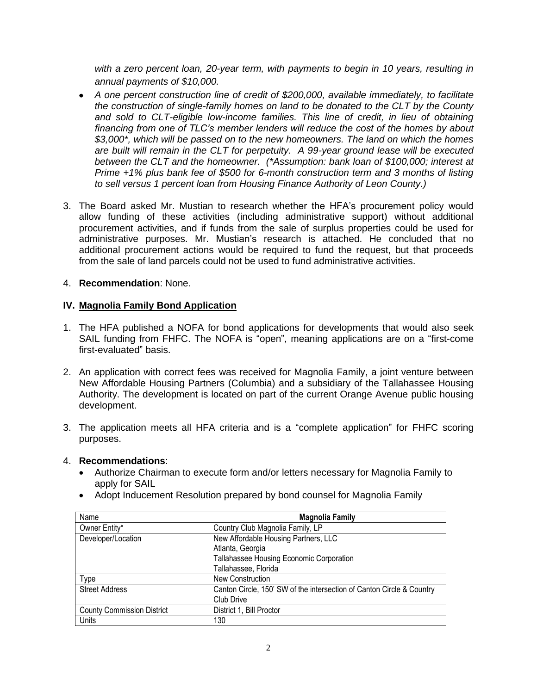*with a zero percent loan, 20-year term, with payments to begin in 10 years, resulting in annual payments of \$10,000.*

- *A one percent construction line of credit of \$200,000, available immediately, to facilitate the construction of single-family homes on land to be donated to the CLT by the County and sold to CLT-eligible low-income families. This line of credit, in lieu of obtaining financing from one of TLC's member lenders will reduce the cost of the homes by about \$3,000\*, which will be passed on to the new homeowners. The land on which the homes are built will remain in the CLT for perpetuity. A 99-year ground lease will be executed between the CLT and the homeowner. (\*Assumption: bank loan of \$100,000; interest at Prime +1% plus bank fee of \$500 for 6-month construction term and 3 months of listing to sell versus 1 percent loan from Housing Finance Authority of Leon County.)*
- 3. The Board asked Mr. Mustian to research whether the HFA's procurement policy would allow funding of these activities (including administrative support) without additional procurement activities, and if funds from the sale of surplus properties could be used for administrative purposes. Mr. Mustian's research is attached. He concluded that no additional procurement actions would be required to fund the request, but that proceeds from the sale of land parcels could not be used to fund administrative activities.

## 4. **Recommendation**: None.

#### **IV. Magnolia Family Bond Application**

- 1. The HFA published a NOFA for bond applications for developments that would also seek SAIL funding from FHFC. The NOFA is "open", meaning applications are on a "first-come first-evaluated" basis.
- 2. An application with correct fees was received for Magnolia Family, a joint venture between New Affordable Housing Partners (Columbia) and a subsidiary of the Tallahassee Housing Authority. The development is located on part of the current Orange Avenue public housing development.
- 3. The application meets all HFA criteria and is a "complete application" for FHFC scoring purposes.

#### 4. **Recommendations**:

- Authorize Chairman to execute form and/or letters necessary for Magnolia Family to apply for SAIL
- Adopt Inducement Resolution prepared by bond counsel for Magnolia Family

| Name                              | <b>Magnolia Family</b>                                                |
|-----------------------------------|-----------------------------------------------------------------------|
| Owner Entity*                     | Country Club Magnolia Family, LP                                      |
| Developer/Location                | New Affordable Housing Partners, LLC                                  |
|                                   | Atlanta, Georgia                                                      |
|                                   | Tallahassee Housing Economic Corporation                              |
|                                   | Tallahassee, Florida                                                  |
| Type                              | <b>New Construction</b>                                               |
| <b>Street Address</b>             | Canton Circle, 150' SW of the intersection of Canton Circle & Country |
|                                   | Club Drive                                                            |
| <b>County Commission District</b> | District 1, Bill Proctor                                              |
| Units                             | 130                                                                   |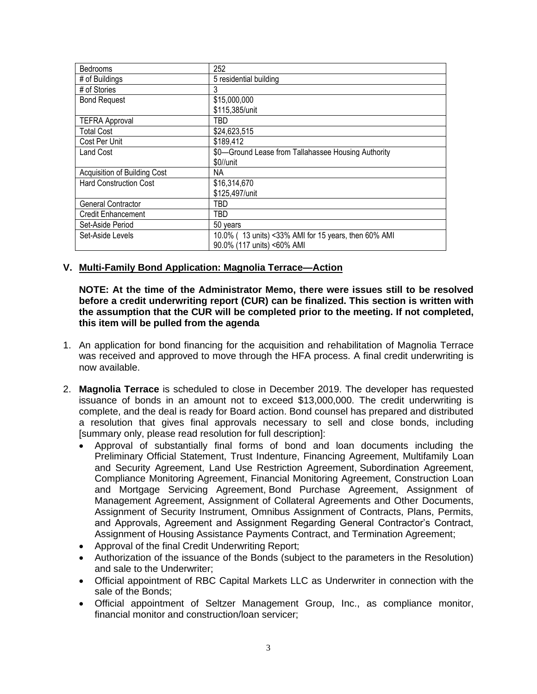| <b>Bedrooms</b>               | 252                                                  |
|-------------------------------|------------------------------------------------------|
| # of Buildings                | 5 residential building                               |
| # of Stories                  | 3                                                    |
| <b>Bond Request</b>           | \$15,000,000                                         |
|                               | \$115,385/unit                                       |
| <b>TEFRA Approval</b>         | TBD                                                  |
| <b>Total Cost</b>             | \$24,623,515                                         |
| Cost Per Unit                 | \$189,412                                            |
| <b>Land Cost</b>              | \$0—Ground Lease from Tallahassee Housing Authority  |
|                               | \$0//unit                                            |
| Acquisition of Building Cost  | NA.                                                  |
| <b>Hard Construction Cost</b> | \$16,314,670                                         |
|                               | \$125,497/unit                                       |
| General Contractor            | TBD                                                  |
| <b>Credit Enhancement</b>     | TBD                                                  |
| Set-Aside Period              | 50 years                                             |
| Set-Aside Levels              | 10.0% (13 units) <33% AMI for 15 years, then 60% AMI |
|                               | 90.0% (117 units) <60% AMI                           |

## **V. Multi-Family Bond Application: Magnolia Terrace—Action**

**NOTE: At the time of the Administrator Memo, there were issues still to be resolved before a credit underwriting report (CUR) can be finalized. This section is written with the assumption that the CUR will be completed prior to the meeting. If not completed, this item will be pulled from the agenda**

- 1. An application for bond financing for the acquisition and rehabilitation of Magnolia Terrace was received and approved to move through the HFA process. A final credit underwriting is now available.
- 2. **Magnolia Terrace** is scheduled to close in December 2019. The developer has requested issuance of bonds in an amount not to exceed \$13,000,000. The credit underwriting is complete, and the deal is ready for Board action. Bond counsel has prepared and distributed a resolution that gives final approvals necessary to sell and close bonds, including [summary only, please read resolution for full description]:
	- Approval of substantially final forms of bond and loan documents including the Preliminary Official Statement, Trust Indenture, Financing Agreement, Multifamily Loan and Security Agreement, Land Use Restriction Agreement, Subordination Agreement, Compliance Monitoring Agreement, Financial Monitoring Agreement, Construction Loan and Mortgage Servicing Agreement, Bond Purchase Agreement, Assignment of Management Agreement, Assignment of Collateral Agreements and Other Documents, Assignment of Security Instrument, Omnibus Assignment of Contracts, Plans, Permits, and Approvals, Agreement and Assignment Regarding General Contractor's Contract, Assignment of Housing Assistance Payments Contract, and Termination Agreement;
	- Approval of the final Credit Underwriting Report;
	- Authorization of the issuance of the Bonds (subject to the parameters in the Resolution) and sale to the Underwriter;
	- Official appointment of RBC Capital Markets LLC as Underwriter in connection with the sale of the Bonds;
	- Official appointment of Seltzer Management Group, Inc., as compliance monitor, financial monitor and construction/loan servicer;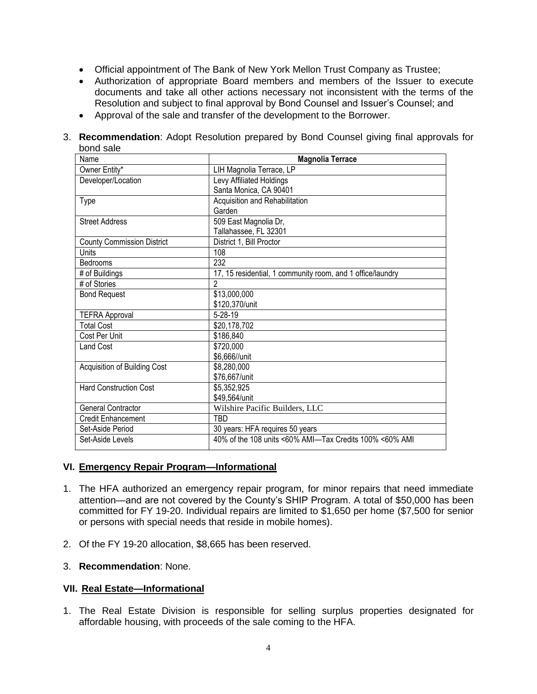- Official appointment of The Bank of New York Mellon Trust Company as Trustee;
- Authorization of appropriate Board members and members of the Issuer to execute documents and take all other actions necessary not inconsistent with the terms of the Resolution and subject to final approval by Bond Counsel and Issuer's Counsel; and
- Approval of the sale and transfer of the development to the Borrower.
- 3. **Recommendation**: Adopt Resolution prepared by Bond Counsel giving final approvals for bond sale

| Name                              | <b>Magnolia Terrace</b>                                    |
|-----------------------------------|------------------------------------------------------------|
| Owner Entity*                     | LIH Magnolia Terrace, LP                                   |
| Developer/Location                | Levy Affiliated Holdings                                   |
|                                   | Santa Monica, CA 90401                                     |
| <b>Type</b>                       | Acquisition and Rehabilitation                             |
|                                   | Garden                                                     |
| <b>Street Address</b>             | 509 East Magnolia Dr,                                      |
|                                   | Tallahassee, FL 32301                                      |
| <b>County Commission District</b> | District 1, Bill Proctor                                   |
| Units                             | 108                                                        |
| <b>Bedrooms</b>                   | 232                                                        |
| # of Buildings                    | 17, 15 residential, 1 community room, and 1 office/laundry |
| # of Stories                      | $\overline{2}$                                             |
| <b>Bond Request</b>               | \$13,000,000                                               |
|                                   | \$120,370/unit                                             |
| <b>TEFRA Approval</b>             | $5 - 28 - 19$                                              |
| <b>Total Cost</b>                 | \$20,178,702                                               |
| Cost Per Unit                     | \$186,840                                                  |
| <b>Land Cost</b>                  | \$720,000                                                  |
|                                   | \$6,666//unit                                              |
| Acquisition of Building Cost      | \$8,280,000                                                |
|                                   | \$76,667/unit                                              |
| <b>Hard Construction Cost</b>     | \$5,352,925                                                |
|                                   | \$49,564/unit                                              |
| <b>General Contractor</b>         | Wilshire Pacific Builders, LLC                             |
| <b>Credit Enhancement</b>         | TBD                                                        |
| Set-Aside Period                  | 30 years: HFA requires 50 years                            |
| Set-Aside Levels                  | 40% of the 108 units <60% AMI—Tax Credits 100% <60% AMI    |

## **VI. Emergency Repair Program—Informational**

- 1. The HFA authorized an emergency repair program, for minor repairs that need immediate attention—and are not covered by the County's SHIP Program. A total of \$50,000 has been committed for FY 19-20. Individual repairs are limited to \$1,650 per home (\$7,500 for senior or persons with special needs that reside in mobile homes).
- 2. Of the FY 19-20 allocation, \$8,665 has been reserved.
- 3. **Recommendation**: None.

# **VII. Real Estate—Informational**

1. The Real Estate Division is responsible for selling surplus properties designated for affordable housing, with proceeds of the sale coming to the HFA.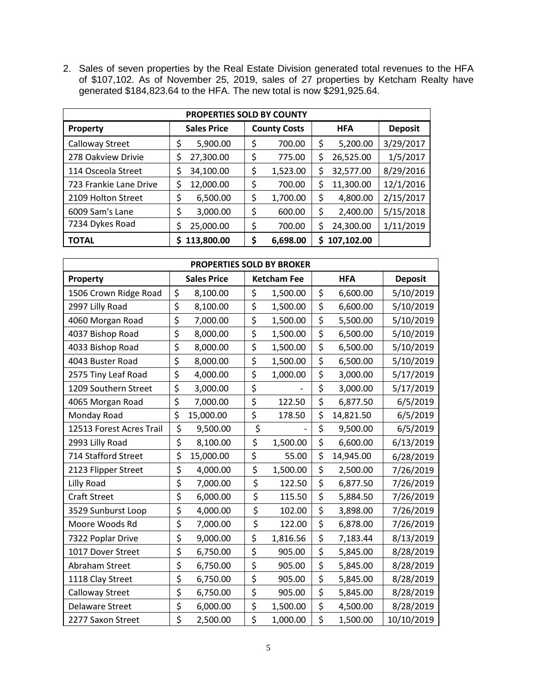2. Sales of seven properties by the Real Estate Division generated total revenues to the HFA of \$107,102. As of November 25, 2019, sales of 27 properties by Ketcham Realty have generated \$184,823.64 to the HFA. The new total is now \$291,925.64.

| PROPERTIES SOLD BY COUNTY |                    |    |                                   |    |                |           |  |  |  |
|---------------------------|--------------------|----|-----------------------------------|----|----------------|-----------|--|--|--|
| Property                  | <b>Sales Price</b> |    | <b>County Costs</b><br><b>HFA</b> |    | <b>Deposit</b> |           |  |  |  |
| Calloway Street           | 5,900.00<br>\$     | \$ | 700.00                            | \$ | 5,200.00       | 3/29/2017 |  |  |  |
| 278 Oakview Drivie        | 27,300.00          | \$ | 775.00                            | \$ | 26,525.00      | 1/5/2017  |  |  |  |
| 114 Osceola Street        | 34,100.00          | \$ | 1,523.00                          | \$ | 32,577.00      | 8/29/2016 |  |  |  |
| 723 Frankie Lane Drive    | 12,000.00<br>\$    | \$ | 700.00                            | \$ | 11,300.00      | 12/1/2016 |  |  |  |
| 2109 Holton Street        | \$<br>6,500.00     | \$ | 1,700.00                          | \$ | 4,800.00       | 2/15/2017 |  |  |  |
| 6009 Sam's Lane           | \$<br>3,000.00     | \$ | 600.00                            | \$ | 2,400.00       | 5/15/2018 |  |  |  |
| 7234 Dykes Road           | 25,000.00<br>\$    | \$ | 700.00                            | \$ | 24,300.00      | 1/11/2019 |  |  |  |
| <b>TOTAL</b>              | 113,800.00         | \$ | 6,698.00                          | \$ | 107,102.00     |           |  |  |  |

| <b>PROPERTIES SOLD BY BROKER</b> |    |                    |    |                    |    |            |                |  |
|----------------------------------|----|--------------------|----|--------------------|----|------------|----------------|--|
| Property                         |    | <b>Sales Price</b> |    | <b>Ketcham Fee</b> |    | <b>HFA</b> | <b>Deposit</b> |  |
| 1506 Crown Ridge Road            | \$ | 8,100.00           | \$ | 1,500.00           | \$ | 6,600.00   | 5/10/2019      |  |
| 2997 Lilly Road                  | \$ | 8,100.00           | \$ | 1,500.00           | \$ | 6,600.00   | 5/10/2019      |  |
| 4060 Morgan Road                 | \$ | 7,000.00           | \$ | 1,500.00           | \$ | 5,500.00   | 5/10/2019      |  |
| 4037 Bishop Road                 | \$ | 8,000.00           | \$ | 1,500.00           | \$ | 6,500.00   | 5/10/2019      |  |
| 4033 Bishop Road                 | \$ | 8,000.00           | \$ | 1,500.00           | \$ | 6,500.00   | 5/10/2019      |  |
| 4043 Buster Road                 | \$ | 8,000.00           | \$ | 1,500.00           | \$ | 6,500.00   | 5/10/2019      |  |
| 2575 Tiny Leaf Road              | \$ | 4,000.00           | \$ | 1,000.00           | \$ | 3,000.00   | 5/17/2019      |  |
| 1209 Southern Street             | \$ | 3,000.00           | \$ |                    | \$ | 3,000.00   | 5/17/2019      |  |
| 4065 Morgan Road                 | \$ | 7,000.00           | \$ | 122.50             | \$ | 6,877.50   | 6/5/2019       |  |
| Monday Road                      | \$ | 15,000.00          | \$ | 178.50             | \$ | 14,821.50  | 6/5/2019       |  |
| 12513 Forest Acres Trail         | \$ | 9,500.00           | \$ |                    | \$ | 9,500.00   | 6/5/2019       |  |
| 2993 Lilly Road                  | \$ | 8,100.00           | \$ | 1,500.00           | \$ | 6,600.00   | 6/13/2019      |  |
| 714 Stafford Street              | \$ | 15,000.00          | \$ | 55.00              | \$ | 14,945.00  | 6/28/2019      |  |
| 2123 Flipper Street              | \$ | 4,000.00           | \$ | 1,500.00           | \$ | 2,500.00   | 7/26/2019      |  |
| Lilly Road                       | \$ | 7,000.00           | \$ | 122.50             | \$ | 6,877.50   | 7/26/2019      |  |
| <b>Craft Street</b>              | \$ | 6,000.00           | \$ | 115.50             | \$ | 5,884.50   | 7/26/2019      |  |
| 3529 Sunburst Loop               | \$ | 4,000.00           | \$ | 102.00             | \$ | 3,898.00   | 7/26/2019      |  |
| Moore Woods Rd                   | \$ | 7,000.00           | \$ | 122.00             | \$ | 6,878.00   | 7/26/2019      |  |
| 7322 Poplar Drive                | \$ | 9,000.00           | \$ | 1,816.56           | \$ | 7,183.44   | 8/13/2019      |  |
| 1017 Dover Street                | \$ | 6,750.00           | \$ | 905.00             | \$ | 5,845.00   | 8/28/2019      |  |
| Abraham Street                   | \$ | 6,750.00           | \$ | 905.00             | \$ | 5,845.00   | 8/28/2019      |  |
| 1118 Clay Street                 | \$ | 6,750.00           | \$ | 905.00             | \$ | 5,845.00   | 8/28/2019      |  |
| <b>Calloway Street</b>           | \$ | 6,750.00           | \$ | 905.00             | \$ | 5,845.00   | 8/28/2019      |  |
| <b>Delaware Street</b>           | \$ | 6,000.00           | \$ | 1,500.00           | \$ | 4,500.00   | 8/28/2019      |  |
| 2277 Saxon Street                | \$ | 2,500.00           | \$ | 1,000.00           | \$ | 1,500.00   | 10/10/2019     |  |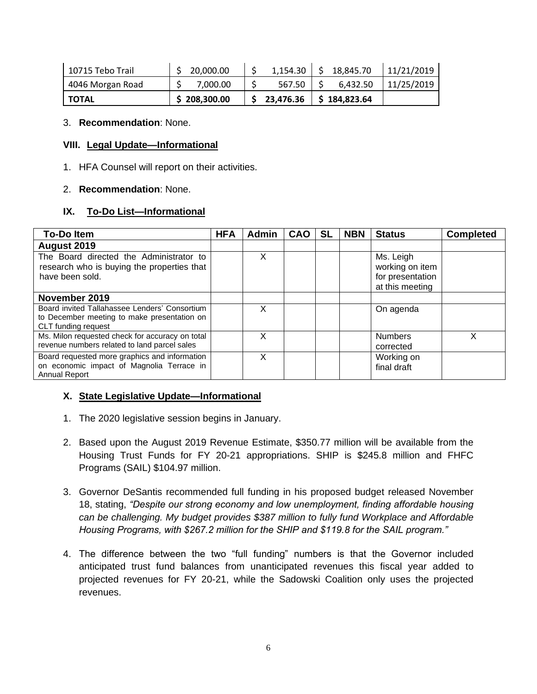| l 10715 Tebo Trail | 20,000.00    |                               | $1,154.30$   \$ 18,845.70 | 11/21/2019 |
|--------------------|--------------|-------------------------------|---------------------------|------------|
| 4046 Morgan Road   | 7.000.00     | 567.50                        | 6,432.50                  | 11/25/2019 |
| I TOTAL            | \$208,300.00 | $$23,476.36 \mid $184,823.64$ |                           |            |

3. **Recommendation**: None.

#### **VIII. Legal Update—Informational**

1. HFA Counsel will report on their activities.

#### 2. **Recommendation**: None.

## **IX. To-Do List—Informational**

| <b>To-Doltem</b>                                                                                                    | <b>HFA</b> | <b>Admin</b> | <b>CAO</b> | <b>SL</b> | <b>NBN</b> | <b>Status</b>                                                       | <b>Completed</b> |
|---------------------------------------------------------------------------------------------------------------------|------------|--------------|------------|-----------|------------|---------------------------------------------------------------------|------------------|
| August 2019                                                                                                         |            |              |            |           |            |                                                                     |                  |
| The Board directed the Administrator to<br>research who is buying the properties that<br>have been sold.            |            | x            |            |           |            | Ms. Leigh<br>working on item<br>for presentation<br>at this meeting |                  |
| November 2019                                                                                                       |            |              |            |           |            |                                                                     |                  |
| Board invited Tallahassee Lenders' Consortium<br>to December meeting to make presentation on<br>CLT funding request |            | х            |            |           |            | On agenda                                                           |                  |
| Ms. Milon requested check for accuracy on total<br>revenue numbers related to land parcel sales                     |            | x            |            |           |            | <b>Numbers</b><br>corrected                                         | x                |
| Board requested more graphics and information<br>on economic impact of Magnolia Terrace in<br><b>Annual Report</b>  |            | x            |            |           |            | Working on<br>final draft                                           |                  |

## **X. State Legislative Update—Informational**

- 1. The 2020 legislative session begins in January.
- 2. Based upon the August 2019 Revenue Estimate, \$350.77 million will be available from the Housing Trust Funds for FY 20-21 appropriations. SHIP is \$245.8 million and FHFC Programs (SAIL) \$104.97 million.
- 3. Governor DeSantis recommended full funding in his proposed budget released November 18, stating, *"Despite our strong economy and low unemployment, finding affordable housing can be challenging. My budget provides \$387 million to fully fund Workplace and Affordable Housing Programs, with \$267.2 million for the SHIP and \$119.8 for the SAIL program."*
- 4. The difference between the two "full funding" numbers is that the Governor included anticipated trust fund balances from unanticipated revenues this fiscal year added to projected revenues for FY 20-21, while the Sadowski Coalition only uses the projected revenues.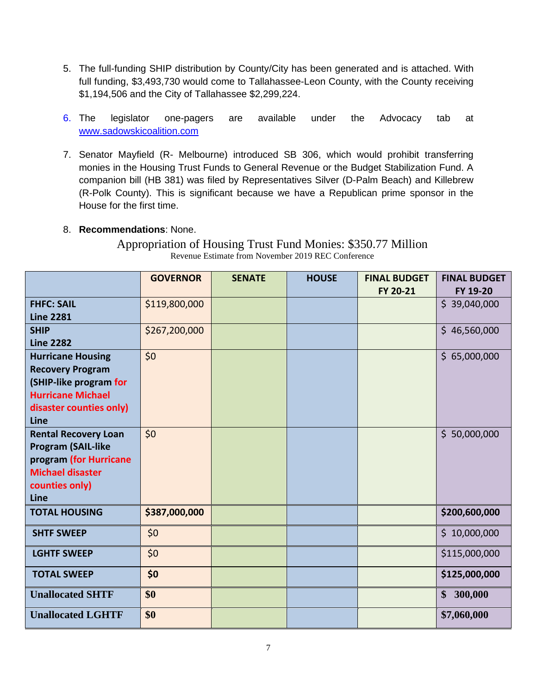- 5. The full-funding SHIP distribution by County/City has been generated and is attached. With full funding, \$3,493,730 would come to Tallahassee-Leon County, with the County receiving \$1,194,506 and the City of Tallahassee \$2,299,224.
- 6. The legislator one-pagers are available under the Advocacy tab at [www.sadowskicoalition.com](http://www.sadowskicoalition.com/)
- 7. Senator Mayfield (R- Melbourne) introduced SB 306, which would prohibit transferring monies in the Housing Trust Funds to General Revenue or the Budget Stabilization Fund. A companion bill (HB 381) was filed by Representatives Silver (D-Palm Beach) and Killebrew (R-Polk County). This is significant because we have a Republican prime sponsor in the House for the first time.

# 8. **Recommendations**: None.

Appropriation of Housing Trust Fund Monies: \$350.77 Million Revenue Estimate from November 2019 REC Conference

|                                                                                                                                              | <b>GOVERNOR</b> | <b>SENATE</b> | <b>HOUSE</b> | <b>FINAL BUDGET</b><br>FY 20-21 | <b>FINAL BUDGET</b><br>FY 19-20 |
|----------------------------------------------------------------------------------------------------------------------------------------------|-----------------|---------------|--------------|---------------------------------|---------------------------------|
| <b>FHFC: SAIL</b><br><b>Line 2281</b>                                                                                                        | \$119,800,000   |               |              |                                 | \$39,040,000                    |
| <b>SHIP</b><br><b>Line 2282</b>                                                                                                              | \$267,200,000   |               |              |                                 | \$46,560,000                    |
| <b>Hurricane Housing</b><br><b>Recovery Program</b><br>(SHIP-like program for<br><b>Hurricane Michael</b><br>disaster counties only)<br>Line | \$0             |               |              |                                 | \$65,000,000                    |
| <b>Rental Recovery Loan</b><br><b>Program (SAIL-like</b><br>program (for Hurricane<br><b>Michael disaster</b><br>counties only)<br>Line      | \$0             |               |              |                                 | \$50,000,000                    |
| <b>TOTAL HOUSING</b>                                                                                                                         | \$387,000,000   |               |              |                                 | \$200,600,000                   |
| <b>SHTF SWEEP</b>                                                                                                                            | \$0\$           |               |              |                                 | \$10,000,000                    |
| <b>LGHTF SWEEP</b>                                                                                                                           | \$0\$           |               |              |                                 | \$115,000,000                   |
| <b>TOTAL SWEEP</b>                                                                                                                           | \$0             |               |              |                                 | \$125,000,000                   |
| <b>Unallocated SHTF</b>                                                                                                                      | \$0             |               |              |                                 | \$300,000                       |
| <b>Unallocated LGHTF</b>                                                                                                                     | \$0             |               |              |                                 | \$7,060,000                     |